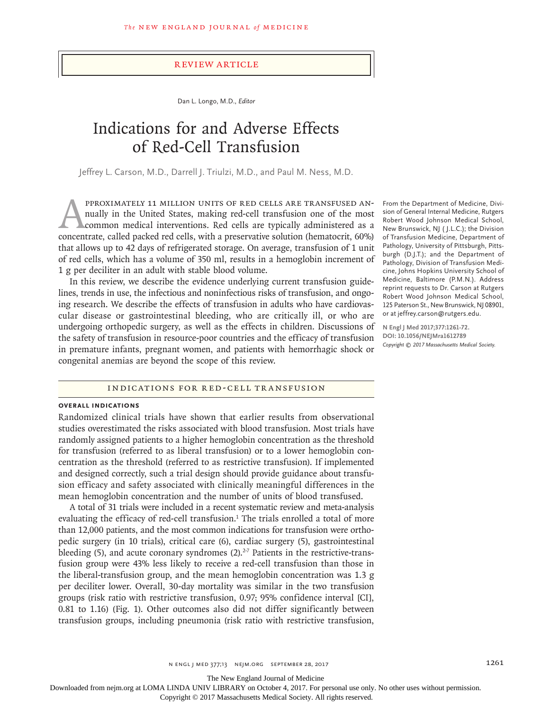# Review Article

Dan L. Longo, M.D., *Editor*

# Indications for and Adverse Effects of Red-Cell Transfusion

Jeffrey L. Carson, M.D., Darrell J. Triulzi, M.D., and Paul M. Ness, M.D.

PPROXIMATELY 11 MILLION UNITS OF RED CELLS ARE TRANSFUSED AN-<br>nually in the United States, making red-cell transfusion one of the most<br>common medical interventions. Red cells are typically administered as a<br>concentrate. ca nually in the United States, making red-cell transfusion one of the most common medical interventions. Red cells are typically administered as a concentrate, called packed red cells, with a preservative solution (hematocrit, 60%) that allows up to 42 days of refrigerated storage. On average, transfusion of 1 unit of red cells, which has a volume of 350 ml, results in a hemoglobin increment of 1 g per deciliter in an adult with stable blood volume.

In this review, we describe the evidence underlying current transfusion guidelines, trends in use, the infectious and noninfectious risks of transfusion, and ongoing research. We describe the effects of transfusion in adults who have cardiovascular disease or gastrointestinal bleeding, who are critically ill, or who are undergoing orthopedic surgery, as well as the effects in children. Discussions of the safety of transfusion in resource-poor countries and the efficacy of transfusion in premature infants, pregnant women, and patients with hemorrhagic shock or congenital anemias are beyond the scope of this review.

# Indications for Red-Cell Transfusion

### **Overall Indications**

Randomized clinical trials have shown that earlier results from observational studies overestimated the risks associated with blood transfusion. Most trials have randomly assigned patients to a higher hemoglobin concentration as the threshold for transfusion (referred to as liberal transfusion) or to a lower hemoglobin concentration as the threshold (referred to as restrictive transfusion). If implemented and designed correctly, such a trial design should provide guidance about transfusion efficacy and safety associated with clinically meaningful differences in the mean hemoglobin concentration and the number of units of blood transfused.

A total of 31 trials were included in a recent systematic review and meta-analysis evaluating the efficacy of red-cell transfusion.<sup>1</sup> The trials enrolled a total of more than 12,000 patients, and the most common indications for transfusion were orthopedic surgery (in 10 trials), critical care (6), cardiac surgery (5), gastrointestinal bleeding (5), and acute coronary syndromes  $(2).<sup>2-7</sup>$  Patients in the restrictive-transfusion group were 43% less likely to receive a red-cell transfusion than those in the liberal-transfusion group, and the mean hemoglobin concentration was 1.3 g per deciliter lower. Overall, 30-day mortality was similar in the two transfusion groups (risk ratio with restrictive transfusion, 0.97; 95% confidence interval [CI], 0.81 to 1.16) (Fig. 1). Other outcomes also did not differ significantly between transfusion groups, including pneumonia (risk ratio with restrictive transfusion,

From the Department of Medicine, Division of General Internal Medicine, Rutgers Robert Wood Johnson Medical School, New Brunswick, NJ ( J.L.C.); the Division of Transfusion Medicine, Department of Pathology, University of Pittsburgh, Pittsburgh (D.J.T.); and the Department of Pathology, Division of Transfusion Medicine, Johns Hopkins University School of Medicine, Baltimore (P.M.N.). Address reprint requests to Dr. Carson at Rutgers Robert Wood Johnson Medical School, 125 Paterson St., New Brunswick, NJ 08901, or at jeffrey.carson@rutgers.edu.

**N Engl J Med 2017;377:1261-72. DOI: 10.1056/NEJMra1612789** *Copyright © 2017 Massachusetts Medical Society.*

The New England Journal of Medicine

Downloaded from nejm.org at LOMA LINDA UNIV LIBRARY on October 4, 2017. For personal use only. No other uses without permission.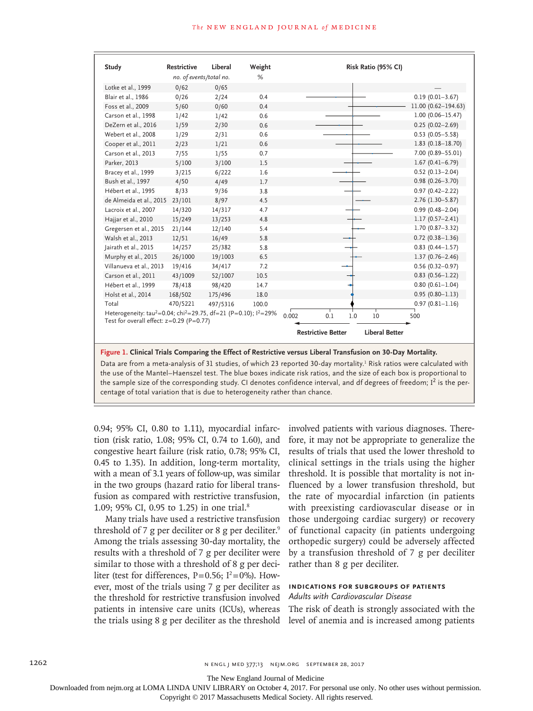| Study                                                                                                                                             | <b>Restrictive</b>           | Liberal  | Weight | Risk Ratio (95% CI)                                |                      |  |  |
|---------------------------------------------------------------------------------------------------------------------------------------------------|------------------------------|----------|--------|----------------------------------------------------|----------------------|--|--|
|                                                                                                                                                   | no. of events/total no.<br>% |          |        |                                                    |                      |  |  |
| Lotke et al., 1999                                                                                                                                | 0/62                         | 0/65     |        |                                                    |                      |  |  |
| Blair et al., 1986                                                                                                                                | 0/26                         | 2/24     | 0.4    |                                                    | $0.19(0.01 - 3.67)$  |  |  |
| Foss et al., 2009                                                                                                                                 | 5/60                         | 0/60     | 0.4    |                                                    | 11.00 (0.62-194.63)  |  |  |
| Carson et al., 1998                                                                                                                               | 1/42                         | 1/42     | 0.6    |                                                    | $1.00(0.06 - 15.47)$ |  |  |
| DeZern et al., 2016                                                                                                                               | 1/59                         | 2/30     | 0.6    |                                                    | $0.25(0.02 - 2.69)$  |  |  |
| Webert et al., 2008                                                                                                                               | 1/29                         | 2/31     | 0.6    |                                                    | $0.53(0.05 - 5.58)$  |  |  |
| Cooper et al., 2011                                                                                                                               | 2/23                         | 1/21     | 0.6    |                                                    | $1.83(0.18 - 18.70)$ |  |  |
| Carson et al., 2013                                                                                                                               | 7/55                         | 1/55     | 0.7    |                                                    | 7.00 (0.89-55.01)    |  |  |
| Parker, 2013                                                                                                                                      | 5/100                        | 3/100    | 1.5    |                                                    | $1.67(0.41 - 6.79)$  |  |  |
| Bracey et al., 1999                                                                                                                               | 3/215                        | 6/222    | 1.6    |                                                    | $0.52(0.13 - 2.04)$  |  |  |
| Bush et al., 1997                                                                                                                                 | 4/50                         | 4/49     | 1.7    |                                                    | $0.98(0.26 - 3.70)$  |  |  |
| Hébert et al., 1995                                                                                                                               | 8/33                         | 9/36     | 3.8    |                                                    | $0.97(0.42 - 2.22)$  |  |  |
| de Almeida et al., 2015                                                                                                                           | 23/101                       | 8/97     | 4.5    |                                                    | $2.76$ (1.30-5.87)   |  |  |
| Lacroix et al., 2007                                                                                                                              | 14/320                       | 14/317   | 4.7    |                                                    | $0.99(0.48 - 2.04)$  |  |  |
| Hajjar et al., 2010                                                                                                                               | 15/249                       | 13/253   | 4.8    |                                                    | $1.17(0.57 - 2.41)$  |  |  |
| Gregersen et al., 2015                                                                                                                            | 21/144                       | 12/140   | 5.4    |                                                    | $1.70(0.87 - 3.32)$  |  |  |
| Walsh et al., 2013                                                                                                                                | 12/51                        | 16/49    | 5.8    |                                                    | $0.72(0.38 - 1.36)$  |  |  |
| Jairath et al., 2015                                                                                                                              | 14/257                       | 25/382   | 5.8    |                                                    | $0.83$ (0.44-1.57)   |  |  |
| Murphy et al., 2015                                                                                                                               | 26/1000                      | 19/1003  | 6.5    |                                                    | $1.37(0.76 - 2.46)$  |  |  |
| Villanueva et al., 2013                                                                                                                           | 19/416                       | 34/417   | 7.2    |                                                    | $0.56(0.32 - 0.97)$  |  |  |
| Carson et al., 2011                                                                                                                               | 43/1009                      | 52/1007  | 10.5   |                                                    | $0.83$ (0.56-1.22)   |  |  |
| Hébert et al., 1999                                                                                                                               | 78/418                       | 98/420   | 14.7   |                                                    | $0.80(0.61 - 1.04)$  |  |  |
| Holst et al., 2014                                                                                                                                | 168/502                      | 175/496  | 18.0   |                                                    | $0.95(0.80 - 1.13)$  |  |  |
| Total                                                                                                                                             | 470/5221                     | 497/5316 | 100.0  |                                                    | $0.97(0.81 - 1.16)$  |  |  |
| Heterogeneity: tau <sup>2</sup> =0.04; chi <sup>2</sup> =29.75, df=21 (P=0.10); l <sup>2</sup> =29%<br>Test for overall effect: $z=0.29$ (P=0.77) |                              |          |        | 0.1<br>1.0<br>0.002<br>10                          | 500                  |  |  |
|                                                                                                                                                   |                              |          |        | <b>Liberal Better</b><br><b>Restrictive Better</b> |                      |  |  |
| Figure 1. Clinical Trials Comparing the Effect of Restrictive versus Liberal Transfusion on 30-Day Mortality.                                     |                              |          |        |                                                    |                      |  |  |

Data are from a meta-analysis of 31 studies, of which 23 reported 30-day mortality.<sup>1</sup> Risk ratios were calculated with the use of the Mantel–Haenszel test. The blue boxes indicate risk ratios, and the size of each box is proportional to the sample size of the corresponding study. CI denotes confidence interval, and df degrees of freedom; I<sup>2</sup> is the percentage of total variation that is due to heterogeneity rather than chance.

0.94; 95% CI, 0.80 to 1.11), myocardial infarction (risk ratio, 1.08; 95% CI, 0.74 to 1.60), and congestive heart failure (risk ratio, 0.78; 95% CI, 0.45 to 1.35). In addition, long-term mortality, with a mean of 3.1 years of follow-up, was similar in the two groups (hazard ratio for liberal transfusion as compared with restrictive transfusion, 1.09; 95% CI, 0.95 to 1.25) in one trial.8

Many trials have used a restrictive transfusion threshold of 7 g per deciliter or 8 g per deciliter.<sup>9</sup> Among the trials assessing 30-day mortality, the results with a threshold of 7 g per deciliter were similar to those with a threshold of 8 g per deciliter (test for differences,  $P=0.56$ ;  $I^2=0\%$ ). However, most of the trials using 7 g per deciliter as the threshold for restrictive transfusion involved patients in intensive care units (ICUs), whereas the trials using 8 g per deciliter as the threshold

involved patients with various diagnoses. Therefore, it may not be appropriate to generalize the results of trials that used the lower threshold to clinical settings in the trials using the higher threshold. It is possible that mortality is not influenced by a lower transfusion threshold, but the rate of myocardial infarction (in patients with preexisting cardiovascular disease or in those undergoing cardiac surgery) or recovery of functional capacity (in patients undergoing orthopedic surgery) could be adversely affected by a transfusion threshold of 7 g per deciliter rather than 8 g per deciliter.

# **Indications for Subgroups of Patients** *Adults with Cardiovascular Disease*

The risk of death is strongly associated with the level of anemia and is increased among patients

The New England Journal of Medicine

Downloaded from nejm.org at LOMA LINDA UNIV LIBRARY on October 4, 2017. For personal use only. No other uses without permission.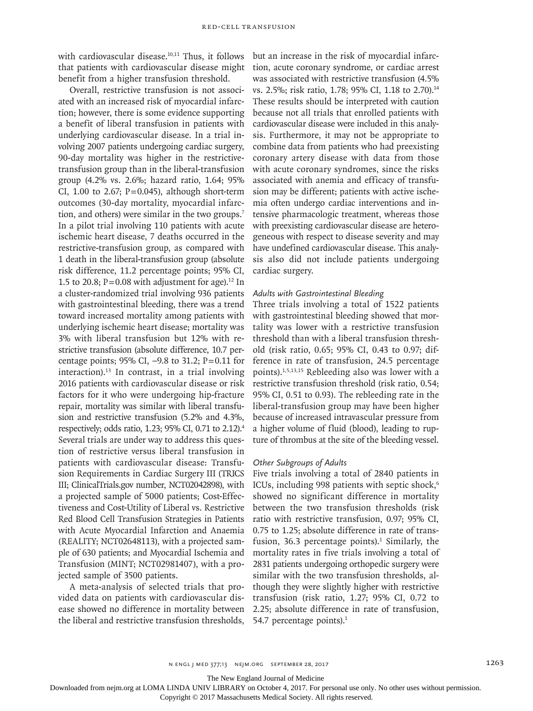with cardiovascular disease.<sup>10,11</sup> Thus, it follows that patients with cardiovascular disease might benefit from a higher transfusion threshold.

Overall, restrictive transfusion is not associated with an increased risk of myocardial infarction; however, there is some evidence supporting a benefit of liberal transfusion in patients with underlying cardiovascular disease. In a trial involving 2007 patients undergoing cardiac surgery, 90-day mortality was higher in the restrictivetransfusion group than in the liberal-transfusion group (4.2% vs. 2.6%; hazard ratio, 1.64; 95% CI, 1.00 to 2.67;  $P=0.045$ ), although short-term outcomes (30-day mortality, myocardial infarction, and others) were similar in the two groups.7 In a pilot trial involving 110 patients with acute ischemic heart disease, 7 deaths occurred in the restrictive-transfusion group, as compared with 1 death in the liberal-transfusion group (absolute risk difference, 11.2 percentage points; 95% CI, 1.5 to 20.8;  $P = 0.08$  with adjustment for age).<sup>12</sup> In a cluster-randomized trial involving 936 patients with gastrointestinal bleeding, there was a trend toward increased mortality among patients with underlying ischemic heart disease; mortality was 3% with liberal transfusion but 12% with restrictive transfusion (absolute difference, 10.7 percentage points; 95% CI, -9.8 to 31.2; P=0.11 for interaction).<sup>13</sup> In contrast, in a trial involving 2016 patients with cardiovascular disease or risk factors for it who were undergoing hip-fracture repair, mortality was similar with liberal transfusion and restrictive transfusion (5.2% and 4.3%, respectively; odds ratio, 1.23; 95% CI, 0.71 to 2.12).4 Several trials are under way to address this question of restrictive versus liberal transfusion in patients with cardiovascular disease: Transfusion Requirements in Cardiac Surgery III (TRICS III; ClinicalTrials.gov number, NCT02042898), with a projected sample of 5000 patients; Cost-Effectiveness and Cost-Utility of Liberal vs. Restrictive Red Blood Cell Transfusion Strategies in Patients with Acute Myocardial Infarction and Anaemia (REALITY; NCT02648113), with a projected sample of 630 patients; and Myocardial Ischemia and Transfusion (MINT; NCT02981407), with a projected sample of 3500 patients.

A meta-analysis of selected trials that provided data on patients with cardiovascular disease showed no difference in mortality between the liberal and restrictive transfusion thresholds,

but an increase in the risk of myocardial infarction, acute coronary syndrome, or cardiac arrest was associated with restrictive transfusion (4.5% vs. 2.5%; risk ratio, 1.78; 95% CI, 1.18 to 2.70).<sup>14</sup> These results should be interpreted with caution because not all trials that enrolled patients with cardiovascular disease were included in this analysis. Furthermore, it may not be appropriate to combine data from patients who had preexisting coronary artery disease with data from those with acute coronary syndromes, since the risks associated with anemia and efficacy of transfusion may be different; patients with active ischemia often undergo cardiac interventions and intensive pharmacologic treatment, whereas those with preexisting cardiovascular disease are heterogeneous with respect to disease severity and may have undefined cardiovascular disease. This analysis also did not include patients undergoing cardiac surgery.

### *Adults with Gastrointestinal Bleeding*

Three trials involving a total of 1522 patients with gastrointestinal bleeding showed that mortality was lower with a restrictive transfusion threshold than with a liberal transfusion threshold (risk ratio, 0.65; 95% CI, 0.43 to 0.97; difference in rate of transfusion, 24.5 percentage points).1,5,13,15 Rebleeding also was lower with a restrictive transfusion threshold (risk ratio, 0.54; 95% CI, 0.51 to 0.93). The rebleeding rate in the liberal-transfusion group may have been higher because of increased intravascular pressure from a higher volume of fluid (blood), leading to rupture of thrombus at the site of the bleeding vessel.

## *Other Subgroups of Adults*

Five trials involving a total of 2840 patients in ICUs, including 998 patients with septic shock,<sup>6</sup> showed no significant difference in mortality between the two transfusion thresholds (risk ratio with restrictive transfusion, 0.97; 95% CI, 0.75 to 1.25; absolute difference in rate of transfusion, 36.3 percentage points). $1$  Similarly, the mortality rates in five trials involving a total of 2831 patients undergoing orthopedic surgery were similar with the two transfusion thresholds, although they were slightly higher with restrictive transfusion (risk ratio, 1.27; 95% CI, 0.72 to 2.25; absolute difference in rate of transfusion, 54.7 percentage points).<sup>1</sup>

The New England Journal of Medicine

Downloaded from nejm.org at LOMA LINDA UNIV LIBRARY on October 4, 2017. For personal use only. No other uses without permission.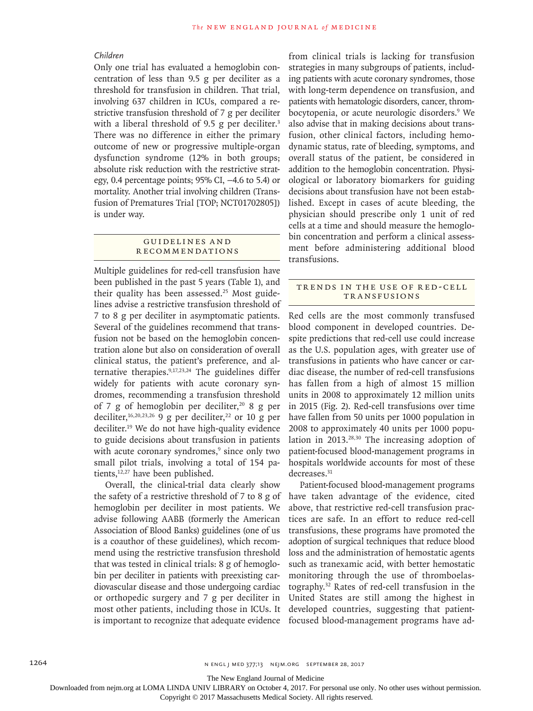# *Children*

Only one trial has evaluated a hemoglobin concentration of less than 9.5 g per deciliter as a threshold for transfusion in children. That trial, involving 637 children in ICUs, compared a restrictive transfusion threshold of 7 g per deciliter with a liberal threshold of 9.5 g per deciliter. $3$ There was no difference in either the primary outcome of new or progressive multiple-organ dysfunction syndrome (12% in both groups; absolute risk reduction with the restrictive strategy, 0.4 percentage points; 95% CI, −4.6 to 5.4) or mortality. Another trial involving children (Transfusion of Prematures Trial [TOP; NCT01702805]) is under way.

## Guidelines a nd **RECOMMENDATIONS**

Multiple guidelines for red-cell transfusion have been published in the past 5 years (Table 1), and their quality has been assessed.<sup>25</sup> Most guidelines advise a restrictive transfusion threshold of 7 to 8 g per deciliter in asymptomatic patients. Several of the guidelines recommend that transfusion not be based on the hemoglobin concentration alone but also on consideration of overall clinical status, the patient's preference, and alternative therapies.9,17,23,24 The guidelines differ widely for patients with acute coronary syndromes, recommending a transfusion threshold of 7 g of hemoglobin per deciliter,<sup>20</sup> 8 g per deciliter,<sup>16,20,23,26</sup> 9 g per deciliter,<sup>22</sup> or 10 g per deciliter.19 We do not have high-quality evidence to guide decisions about transfusion in patients with acute coronary syndromes,<sup>9</sup> since only two small pilot trials, involving a total of 154 patients, $12,27$  have been published.

Overall, the clinical-trial data clearly show the safety of a restrictive threshold of 7 to 8 g of hemoglobin per deciliter in most patients. We advise following AABB (formerly the American Association of Blood Banks) guidelines (one of us is a coauthor of these guidelines), which recommend using the restrictive transfusion threshold that was tested in clinical trials: 8 g of hemoglobin per deciliter in patients with preexisting cardiovascular disease and those undergoing cardiac or orthopedic surgery and 7 g per deciliter in most other patients, including those in ICUs. It is important to recognize that adequate evidence from clinical trials is lacking for transfusion strategies in many subgroups of patients, including patients with acute coronary syndromes, those with long-term dependence on transfusion, and patients with hematologic disorders, cancer, thrombocytopenia, or acute neurologic disorders.<sup>9</sup> We also advise that in making decisions about transfusion, other clinical factors, including hemodynamic status, rate of bleeding, symptoms, and overall status of the patient, be considered in addition to the hemoglobin concentration. Physiological or laboratory biomarkers for guiding decisions about transfusion have not been established. Except in cases of acute bleeding, the physician should prescribe only 1 unit of red cells at a time and should measure the hemoglobin concentration and perform a clinical assessment before administering additional blood transfusions.

# TRENDS IN THE USE OF RED-CELL Transfusions

Red cells are the most commonly transfused blood component in developed countries. Despite predictions that red-cell use could increase as the U.S. population ages, with greater use of transfusions in patients who have cancer or cardiac disease, the number of red-cell transfusions has fallen from a high of almost 15 million units in 2008 to approximately 12 million units in 2015 (Fig. 2). Red-cell transfusions over time have fallen from 50 units per 1000 population in 2008 to approximately 40 units per 1000 population in 2013.28,30 The increasing adoption of patient-focused blood-management programs in hospitals worldwide accounts for most of these decreases.<sup>31</sup>

Patient-focused blood-management programs have taken advantage of the evidence, cited above, that restrictive red-cell transfusion practices are safe. In an effort to reduce red-cell transfusions, these programs have promoted the adoption of surgical techniques that reduce blood loss and the administration of hemostatic agents such as tranexamic acid, with better hemostatic monitoring through the use of thromboelastography.32 Rates of red-cell transfusion in the United States are still among the highest in developed countries, suggesting that patientfocused blood-management programs have ad-

The New England Journal of Medicine

Downloaded from nejm.org at LOMA LINDA UNIV LIBRARY on October 4, 2017. For personal use only. No other uses without permission.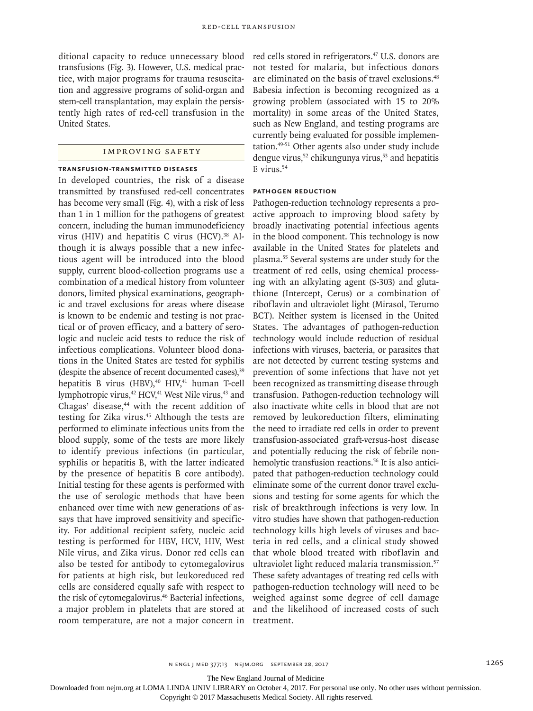ditional capacity to reduce unnecessary blood transfusions (Fig. 3). However, U.S. medical practice, with major programs for trauma resuscitation and aggressive programs of solid-organ and stem-cell transplantation, may explain the persistently high rates of red-cell transfusion in the United States.

# Improving Safety

#### **Transfusion-Transmitted Diseases**

In developed countries, the risk of a disease transmitted by transfused red-cell concentrates has become very small (Fig. 4), with a risk of less than 1 in 1 million for the pathogens of greatest concern, including the human immunodeficiency virus (HIV) and hepatitis C virus (HCV). $38$  Although it is always possible that a new infectious agent will be introduced into the blood supply, current blood-collection programs use a combination of a medical history from volunteer donors, limited physical examinations, geographic and travel exclusions for areas where disease is known to be endemic and testing is not practical or of proven efficacy, and a battery of serologic and nucleic acid tests to reduce the risk of infectious complications. Volunteer blood donations in the United States are tested for syphilis (despite the absence of recent documented cases), 39 hepatitis B virus (HBV),<sup>40</sup> HIV,<sup>41</sup> human T-cell lymphotropic virus,<sup>42</sup> HCV,<sup>41</sup> West Nile virus,<sup>43</sup> and Chagas' disease,<sup>44</sup> with the recent addition of testing for Zika virus.<sup>45</sup> Although the tests are performed to eliminate infectious units from the blood supply, some of the tests are more likely to identify previous infections (in particular, syphilis or hepatitis B, with the latter indicated by the presence of hepatitis B core antibody). Initial testing for these agents is performed with the use of serologic methods that have been enhanced over time with new generations of assays that have improved sensitivity and specificity. For additional recipient safety, nucleic acid testing is performed for HBV, HCV, HIV, West Nile virus, and Zika virus. Donor red cells can also be tested for antibody to cytomegalovirus for patients at high risk, but leukoreduced red cells are considered equally safe with respect to the risk of cytomegalovirus.<sup>46</sup> Bacterial infections, a major problem in platelets that are stored at room temperature, are not a major concern in

red cells stored in refrigerators.<sup>47</sup> U.S. donors are not tested for malaria, but infectious donors are eliminated on the basis of travel exclusions.<sup>48</sup> Babesia infection is becoming recognized as a growing problem (associated with 15 to 20% mortality) in some areas of the United States, such as New England, and testing programs are currently being evaluated for possible implementation.49-51 Other agents also under study include dengue virus,<sup>52</sup> chikungunya virus,<sup>53</sup> and hepatitis  $E$  virus.<sup>54</sup>

# **Pathogen Reduction**

Pathogen-reduction technology represents a proactive approach to improving blood safety by broadly inactivating potential infectious agents in the blood component. This technology is now available in the United States for platelets and plasma.55 Several systems are under study for the treatment of red cells, using chemical processing with an alkylating agent (S-303) and glutathione (Intercept, Cerus) or a combination of riboflavin and ultraviolet light (Mirasol, Terumo BCT). Neither system is licensed in the United States. The advantages of pathogen-reduction technology would include reduction of residual infections with viruses, bacteria, or parasites that are not detected by current testing systems and prevention of some infections that have not yet been recognized as transmitting disease through transfusion. Pathogen-reduction technology will also inactivate white cells in blood that are not removed by leukoreduction filters, eliminating the need to irradiate red cells in order to prevent transfusion-associated graft-versus-host disease and potentially reducing the risk of febrile nonhemolytic transfusion reactions.<sup>56</sup> It is also anticipated that pathogen-reduction technology could eliminate some of the current donor travel exclusions and testing for some agents for which the risk of breakthrough infections is very low. In vitro studies have shown that pathogen-reduction technology kills high levels of viruses and bacteria in red cells, and a clinical study showed that whole blood treated with riboflavin and ultraviolet light reduced malaria transmission.57 These safety advantages of treating red cells with pathogen-reduction technology will need to be weighed against some degree of cell damage and the likelihood of increased costs of such treatment.

The New England Journal of Medicine

Downloaded from nejm.org at LOMA LINDA UNIV LIBRARY on October 4, 2017. For personal use only. No other uses without permission.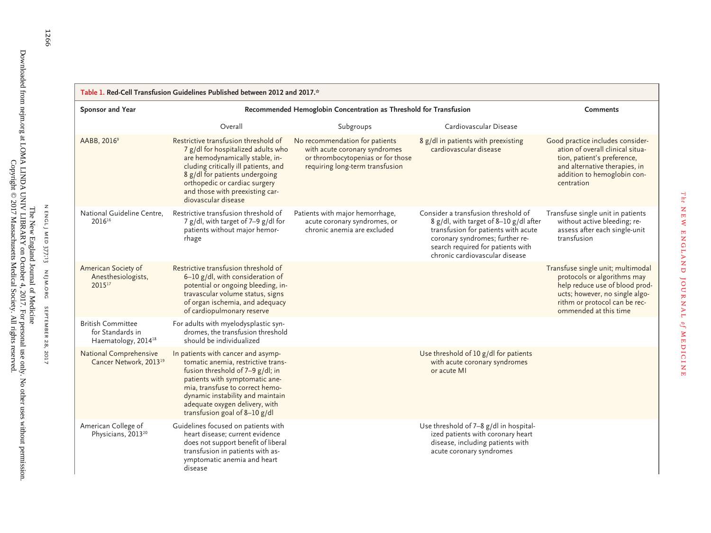| Table 1. Red-Cell Transfusion Guidelines Published between 2012 and 2017.*      |                                                                                                                                                                                                                                                                                          |                                                                                                                                         |                                                                                                                                                                                                                                |                                                                                                                                                                                                |  |  |  |
|---------------------------------------------------------------------------------|------------------------------------------------------------------------------------------------------------------------------------------------------------------------------------------------------------------------------------------------------------------------------------------|-----------------------------------------------------------------------------------------------------------------------------------------|--------------------------------------------------------------------------------------------------------------------------------------------------------------------------------------------------------------------------------|------------------------------------------------------------------------------------------------------------------------------------------------------------------------------------------------|--|--|--|
| Sponsor and Year                                                                | Recommended Hemoglobin Concentration as Threshold for Transfusion                                                                                                                                                                                                                        | <b>Comments</b>                                                                                                                         |                                                                                                                                                                                                                                |                                                                                                                                                                                                |  |  |  |
|                                                                                 | Overall                                                                                                                                                                                                                                                                                  | Subgroups                                                                                                                               | Cardiovascular Disease                                                                                                                                                                                                         |                                                                                                                                                                                                |  |  |  |
| AABB, 2016 <sup>9</sup>                                                         | Restrictive transfusion threshold of<br>7 g/dl for hospitalized adults who<br>are hemodynamically stable, in-<br>cluding critically ill patients, and<br>8 g/dl for patients undergoing<br>orthopedic or cardiac surgery<br>and those with preexisting car-<br>diovascular disease       | No recommendation for patients<br>with acute coronary syndromes<br>or thrombocytopenias or for those<br>requiring long-term transfusion | 8 g/dl in patients with preexisting<br>cardiovascular disease                                                                                                                                                                  | Good practice includes consider-<br>ation of overall clinical situa-<br>tion, patient's preference,<br>and alternative therapies, in<br>addition to hemoglobin con-<br>centration              |  |  |  |
| National Guideline Centre.<br>$2016^{16}$                                       | Restrictive transfusion threshold of<br>7 g/dl, with target of 7-9 g/dl for<br>patients without major hemor-<br>rhage                                                                                                                                                                    | Patients with major hemorrhage,<br>acute coronary syndromes, or<br>chronic anemia are excluded                                          | Consider a transfusion threshold of<br>8 g/dl, with target of 8-10 g/dl after<br>transfusion for patients with acute<br>coronary syndromes; further re-<br>search required for patients with<br>chronic cardiovascular disease | Transfuse single unit in patients<br>without active bleeding; re-<br>assess after each single-unit<br>transfusion                                                                              |  |  |  |
| American Society of<br>Anesthesiologists,<br>201517                             | Restrictive transfusion threshold of<br>6-10 g/dl, with consideration of<br>potential or ongoing bleeding, in-<br>travascular volume status, signs<br>of organ ischemia, and adequacy<br>of cardiopulmonary reserve                                                                      |                                                                                                                                         |                                                                                                                                                                                                                                | Transfuse single unit; multimodal<br>protocols or algorithms may<br>help reduce use of blood prod-<br>ucts; however, no single algo-<br>rithm or protocol can be rec-<br>ommended at this time |  |  |  |
| <b>British Committee</b><br>for Standards in<br>Haematology, 2014 <sup>18</sup> | For adults with myelodysplastic syn-<br>dromes, the transfusion threshold<br>should be individualized                                                                                                                                                                                    |                                                                                                                                         |                                                                                                                                                                                                                                |                                                                                                                                                                                                |  |  |  |
| National Comprehensive<br>Cancer Network, 2013 <sup>19</sup>                    | In patients with cancer and asymp-<br>tomatic anemia, restrictive trans-<br>fusion threshold of 7-9 g/dl; in<br>patients with symptomatic ane-<br>mia, transfuse to correct hemo-<br>dynamic instability and maintain<br>adequate oxygen delivery, with<br>transfusion goal of 8-10 g/dl |                                                                                                                                         | Use threshold of 10 g/dl for patients<br>with acute coronary syndromes<br>or acute MI                                                                                                                                          |                                                                                                                                                                                                |  |  |  |
| American College of<br>Physicians, 2013 <sup>20</sup>                           | Guidelines focused on patients with<br>heart disease; current evidence<br>does not support benefit of liberal<br>transfusion in patients with as-<br>ymptomatic anemia and heart<br>disease                                                                                              |                                                                                                                                         | Use threshold of 7-8 g/dl in hospital-<br>ized patients with coronary heart<br>disease, including patients with<br>acute coronary syndromes                                                                                    |                                                                                                                                                                                                |  |  |  |

*The*

new england journal

*o f*

medicine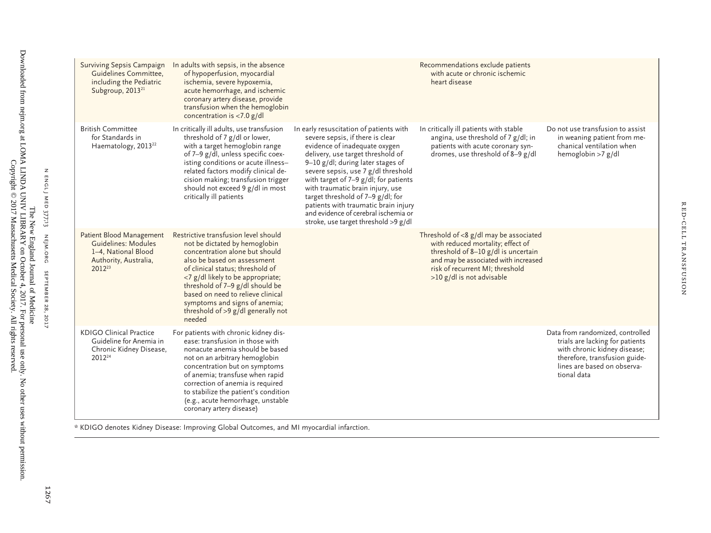| <b>Surviving Sepsis Campaign</b><br>Guidelines Committee,<br>including the Pediatric<br>Subgroup, 2013 <sup>21</sup>  | In adults with sepsis, in the absence<br>of hypoperfusion, myocardial<br>ischemia, severe hypoxemia,<br>acute hemorrhage, and ischemic<br>coronary artery disease, provide<br>transfusion when the hemoglobin<br>concentration is $<$ 7.0 g/dl                                                                                                                           |                                                                                                                                                                                                                                                                                                                                                                                                                                                                           | Recommendations exclude patients<br>with acute or chronic ischemic<br>heart disease                                                                                                                                           |                                                                                                                                                                                    |
|-----------------------------------------------------------------------------------------------------------------------|--------------------------------------------------------------------------------------------------------------------------------------------------------------------------------------------------------------------------------------------------------------------------------------------------------------------------------------------------------------------------|---------------------------------------------------------------------------------------------------------------------------------------------------------------------------------------------------------------------------------------------------------------------------------------------------------------------------------------------------------------------------------------------------------------------------------------------------------------------------|-------------------------------------------------------------------------------------------------------------------------------------------------------------------------------------------------------------------------------|------------------------------------------------------------------------------------------------------------------------------------------------------------------------------------|
| <b>British Committee</b><br>for Standards in<br>Haematology, 2013 <sup>22</sup>                                       | In critically ill adults, use transfusion<br>threshold of 7 g/dl or lower,<br>with a target hemoglobin range<br>of 7-9 g/dl, unless specific coex-<br>isting conditions or acute illness-<br>related factors modify clinical de-<br>cision making; transfusion trigger<br>should not exceed 9 g/dl in most<br>critically ill patients                                    | In early resuscitation of patients with<br>severe sepsis, if there is clear<br>evidence of inadequate oxygen<br>delivery, use target threshold of<br>9-10 g/dl; during later stages of<br>severe sepsis, use 7 g/dl threshold<br>with target of $7-9$ g/dl; for patients<br>with traumatic brain injury, use<br>target threshold of 7-9 g/dl; for<br>patients with traumatic brain injury<br>and evidence of cerebral ischemia or<br>stroke, use target threshold >9 g/dl | In critically ill patients with stable<br>angina, use threshold of 7 g/dl; in<br>patients with acute coronary syn-<br>dromes, use threshold of 8-9 g/dl                                                                       | Do not use transfusion to assist<br>in weaning patient from me-<br>chanical ventilation when<br>hemoglobin >7 g/dl                                                                 |
| Patient Blood Management<br>Guidelines: Modules<br>1-4. National Blood<br>Authority, Australia,<br>2012 <sup>23</sup> | Restrictive transfusion level should<br>not be dictated by hemoglobin<br>concentration alone but should<br>also be based on assessment<br>of clinical status; threshold of<br><7 g/dl likely to be appropriate;<br>threshold of 7-9 g/dl should be<br>based on need to relieve clinical<br>symptoms and signs of anemia;<br>threshold of >9 g/dl generally not<br>needed |                                                                                                                                                                                                                                                                                                                                                                                                                                                                           | Threshold of $<$ 8 g/dl may be associated<br>with reduced mortality; effect of<br>threshold of 8-10 g/dl is uncertain<br>and may be associated with increased<br>risk of recurrent MI; threshold<br>>10 g/dl is not advisable |                                                                                                                                                                                    |
| <b>KDIGO Clinical Practice</b><br>Guideline for Anemia in<br>Chronic Kidney Disease,<br>2012 <sup>24</sup>            | For patients with chronic kidney dis-<br>ease: transfusion in those with<br>nonacute anemia should be based<br>not on an arbitrary hemoglobin<br>concentration but on symptoms<br>of anemia; transfuse when rapid<br>correction of anemia is required<br>to stabilize the patient's condition<br>(e.g., acute hemorrhage, unstable<br>coronary artery disease)           |                                                                                                                                                                                                                                                                                                                                                                                                                                                                           |                                                                                                                                                                                                                               | Data from randomized, controlled<br>trials are lacking for patients<br>with chronic kidney disease;<br>therefore, transfusion guide-<br>lines are based on observa-<br>tional data |

Red-Cell Transfusion

RED-CELL TRANSFUSION

\* KDIGO denotes Kidney Disease: Improving Global Outcomes, and MI myocardial infarction.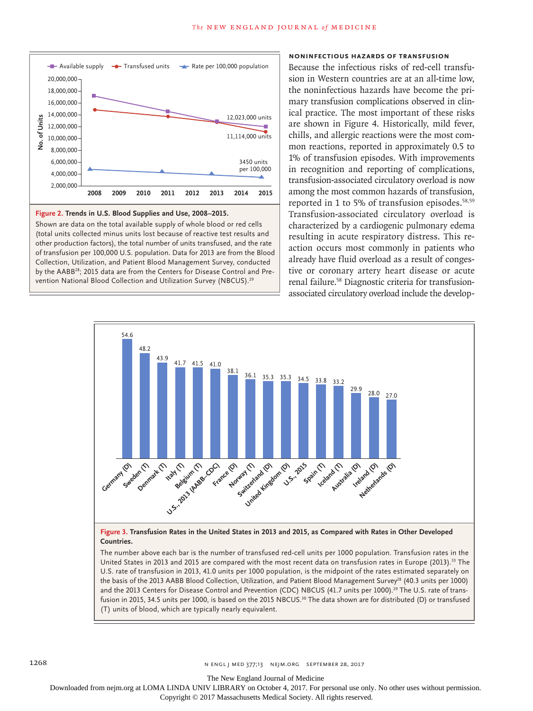

#### **Figure 2. Trends in U.S. Blood Supplies and Use, 2008–2015.**

Shown are data on the total available supply of whole blood or red cells (total units collected minus units lost because of reactive test results and other production factors), the total number of units transfused, and the rate of transfusion per 100,000 U.S. population. Data for 2013 are from the Blood Collection, Utilization, and Patient Blood Management Survey, conducted by the AABB28; 2015 data are from the Centers for Disease Control and Pre-

# **Noninfectious Hazards of Transfusion**

Because the infectious risks of red-cell transfusion in Western countries are at an all-time low, the noninfectious hazards have become the primary transfusion complications observed in clinical practice. The most important of these risks are shown in Figure 4. Historically, mild fever, chills, and allergic reactions were the most common reactions, reported in approximately 0.5 to 1% of transfusion episodes. With improvements in recognition and reporting of complications, transfusion-associated circulatory overload is now among the most common hazards of transfusion, reported in 1 to 5% of transfusion episodes.<sup>58,59</sup> Transfusion-associated circulatory overload is characterized by a cardiogenic pulmonary edema resulting in acute respiratory distress. This reaction occurs most commonly in patients who already have fluid overload as a result of congestive or coronary artery heart disease or acute renal failure.58 Diagnostic criteria for transfusionassociated circulatory overload include the develop-



**Figure 3. Transfusion Rates in the United States in 2013 and 2015, as Compared with Rates in Other Developed Countries.**

The number above each bar is the number of transfused red-cell units per 1000 population. Transfusion rates in the United States in 2013 and 2015 are compared with the most recent data on transfusion rates in Europe (2013).33 The U.S. rate of transfusion in 2013, 41.0 units per 1000 population, is the midpoint of the rates estimated separately on the basis of the 2013 AABB Blood Collection, Utilization, and Patient Blood Management Survey<sup>28</sup> (40.3 units per 1000) and the 2013 Centers for Disease Control and Prevention (CDC) NBCUS (41.7 units per 1000).<sup>29</sup> The U.S. rate of transfusion in 2015, 34.5 units per 1000, is based on the 2015 NBCUS.<sup>30</sup> The data shown are for distributed (D) or transfused (T) units of blood, which are typically nearly equivalent.

Downloaded from nejm.org at LOMA LINDA UNIV LIBRARY on October 4, 2017. For personal use only. No other uses without permission. Copyright © 2017 Massachusetts Medical Society. All rights reserved.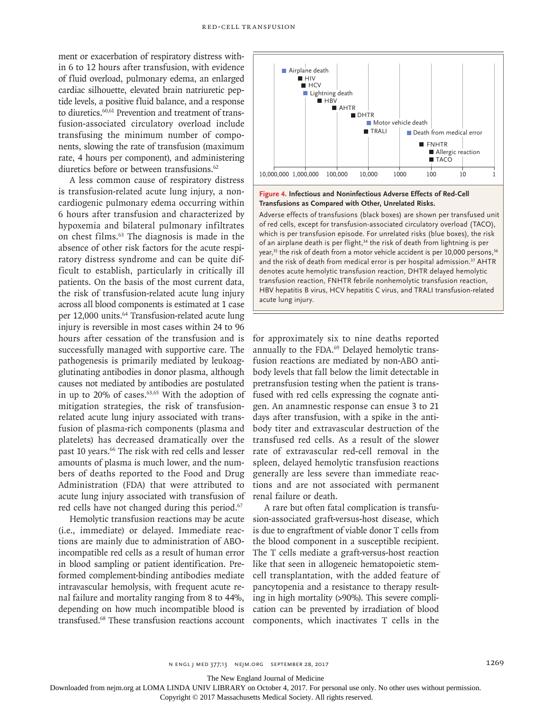ment or exacerbation of respiratory distress within 6 to 12 hours after transfusion, with evidence of fluid overload, pulmonary edema, an enlarged cardiac silhouette, elevated brain natriuretic peptide levels, a positive fluid balance, and a response to diuretics.<sup>60,61</sup> Prevention and treatment of transfusion-associated circulatory overload include transfusing the minimum number of components, slowing the rate of transfusion (maximum rate, 4 hours per component), and administering diuretics before or between transfusions.<sup>62</sup>

A less common cause of respiratory distress is transfusion-related acute lung injury, a noncardiogenic pulmonary edema occurring within 6 hours after transfusion and characterized by hypoxemia and bilateral pulmonary infiltrates on chest films.63 The diagnosis is made in the absence of other risk factors for the acute respiratory distress syndrome and can be quite difficult to establish, particularly in critically ill patients. On the basis of the most current data, the risk of transfusion-related acute lung injury across all blood components is estimated at 1 case per 12,000 units.<sup>64</sup> Transfusion-related acute lung injury is reversible in most cases within 24 to 96 hours after cessation of the transfusion and is successfully managed with supportive care. The pathogenesis is primarily mediated by leukoagglutinating antibodies in donor plasma, although causes not mediated by antibodies are postulated in up to  $20\%$  of cases.<sup>63,65</sup> With the adoption of mitigation strategies, the risk of transfusionrelated acute lung injury associated with transfusion of plasma-rich components (plasma and platelets) has decreased dramatically over the past 10 years.<sup>66</sup> The risk with red cells and lesser amounts of plasma is much lower, and the numbers of deaths reported to the Food and Drug Administration (FDA) that were attributed to acute lung injury associated with transfusion of red cells have not changed during this period.<sup>67</sup>

Hemolytic transfusion reactions may be acute (i.e., immediate) or delayed. Immediate reactions are mainly due to administration of ABOincompatible red cells as a result of human error in blood sampling or patient identification. Preformed complement-binding antibodies mediate intravascular hemolysis, with frequent acute renal failure and mortality ranging from 8 to 44%, depending on how much incompatible blood is transfused.68 These transfusion reactions account



**Figure 4. Infectious and Noninfectious Adverse Effects of Red-Cell Transfusions as Compared with Other, Unrelated Risks.**

Adverse effects of transfusions (black boxes) are shown per transfused unit of red cells, except for transfusion-associated circulatory overload (TACO), which is per transfusion episode. For unrelated risks (blue boxes), the risk of an airplane death is per flight,<sup>34</sup> the risk of death from lightning is per year,<sup>35</sup> the risk of death from a motor vehicle accident is per 10,000 persons,<sup>36</sup> and the risk of death from medical error is per hospital admission.<sup>37</sup> AHTR denotes acute hemolytic transfusion reaction, DHTR delayed hemolytic transfusion reaction, FNHTR febrile nonhemolytic transfusion reaction, HBV hepatitis B virus, HCV hepatitis C virus, and TRALI transfusion-related acute lung injury.

for approximately six to nine deaths reported annually to the FDA.69 Delayed hemolytic transfusion reactions are mediated by non-ABO antibody levels that fall below the limit detectable in pretransfusion testing when the patient is transfused with red cells expressing the cognate antigen. An anamnestic response can ensue 3 to 21 days after transfusion, with a spike in the antibody titer and extravascular destruction of the transfused red cells. As a result of the slower rate of extravascular red-cell removal in the spleen, delayed hemolytic transfusion reactions generally are less severe than immediate reactions and are not associated with permanent renal failure or death.

A rare but often fatal complication is transfusion-associated graft-versus-host disease, which is due to engraftment of viable donor T cells from the blood component in a susceptible recipient. The T cells mediate a graft-versus-host reaction like that seen in allogeneic hematopoietic stemcell transplantation, with the added feature of pancytopenia and a resistance to therapy resulting in high mortality (>90%). This severe complication can be prevented by irradiation of blood components, which inactivates T cells in the

The New England Journal of Medicine

Downloaded from nejm.org at LOMA LINDA UNIV LIBRARY on October 4, 2017. For personal use only. No other uses without permission.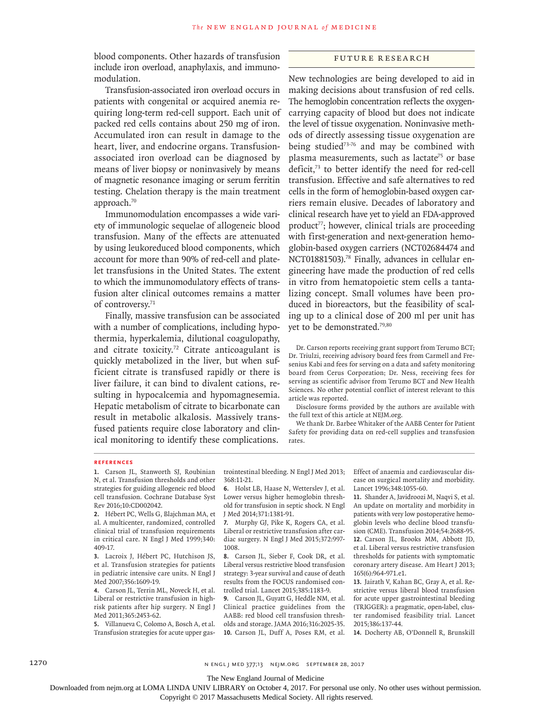blood components. Other hazards of transfusion include iron overload, anaphylaxis, and immunomodulation.

Transfusion-associated iron overload occurs in patients with congenital or acquired anemia requiring long-term red-cell support. Each unit of packed red cells contains about 250 mg of iron. Accumulated iron can result in damage to the heart, liver, and endocrine organs. Transfusionassociated iron overload can be diagnosed by means of liver biopsy or noninvasively by means of magnetic resonance imaging or serum ferritin testing. Chelation therapy is the main treatment approach.<sup>70</sup>

Immunomodulation encompasses a wide variety of immunologic sequelae of allogeneic blood transfusion. Many of the effects are attenuated by using leukoreduced blood components, which account for more than 90% of red-cell and platelet transfusions in the United States. The extent to which the immunomodulatory effects of transfusion alter clinical outcomes remains a matter of controversy.<sup>71</sup>

Finally, massive transfusion can be associated with a number of complications, including hypothermia, hyperkalemia, dilutional coagulopathy, and citrate toxicity.<sup>72</sup> Citrate anticoagulant is quickly metabolized in the liver, but when sufficient citrate is transfused rapidly or there is liver failure, it can bind to divalent cations, resulting in hypocalcemia and hypomagnesemia. Hepatic metabolism of citrate to bicarbonate can result in metabolic alkalosis. Massively transfused patients require close laboratory and clinical monitoring to identify these complications.

### Future Research

New technologies are being developed to aid in making decisions about transfusion of red cells. The hemoglobin concentration reflects the oxygencarrying capacity of blood but does not indicate the level of tissue oxygenation. Noninvasive methods of directly assessing tissue oxygenation are being studied<sup>73-76</sup> and may be combined with plasma measurements, such as lactate<sup>75</sup> or base deficit,<sup>73</sup> to better identify the need for red-cell transfusion. Effective and safe alternatives to red cells in the form of hemoglobin-based oxygen carriers remain elusive. Decades of laboratory and clinical research have yet to yield an FDA-approved product<sup>77</sup>; however, clinical trials are proceeding with first-generation and next-generation hemoglobin-based oxygen carriers (NCT02684474 and NCT01881503).<sup>78</sup> Finally, advances in cellular engineering have made the production of red cells in vitro from hematopoietic stem cells a tantalizing concept. Small volumes have been produced in bioreactors, but the feasibility of scaling up to a clinical dose of 200 ml per unit has yet to be demonstrated.79,80

Dr. Carson reports receiving grant support from Terumo BCT; Dr. Triulzi, receiving advisory board fees from Carmell and Fresenius Kabi and fees for serving on a data and safety monitoring board from Cerus Corporation; Dr. Ness, receiving fees for serving as scientific advisor from Terumo BCT and New Health Sciences. No other potential conflict of interest relevant to this article was reported.

Disclosure forms provided by the authors are available with the full text of this article at NEJM.org.

We thank Dr. Barbee Whitaker of the AABB Center for Patient Safety for providing data on red-cell supplies and transfusion rates.

#### **References**

**1.** Carson JL, Stanworth SJ, Roubinian N, et al. Transfusion thresholds and other strategies for guiding allogeneic red blood cell transfusion. Cochrane Database Syst Rev 2016;10:CD002042.

**2.** Hébert PC, Wells G, Blajchman MA, et al. A multicenter, randomized, controlled clinical trial of transfusion requirements in critical care. N Engl J Med 1999;340: 409-17.

**3.** Lacroix J, Hébert PC, Hutchison JS, et al. Transfusion strategies for patients in pediatric intensive care units. N Engl J Med 2007;356:1609-19.

**4.** Carson JL, Terrin ML, Noveck H, et al. Liberal or restrictive transfusion in highrisk patients after hip surgery. N Engl J Med 2011;365:2453-62.

**5.** Villanueva C, Colomo A, Bosch A, et al. Transfusion strategies for acute upper gastrointestinal bleeding. N Engl J Med 2013; 368:11-21.

**6.** Holst LB, Haase N, Wetterslev J, et al. Lower versus higher hemoglobin threshold for transfusion in septic shock. N Engl J Med 2014;371:1381-91.

**7.** Murphy GJ, Pike K, Rogers CA, et al. Liberal or restrictive transfusion after cardiac surgery. N Engl J Med 2015;372:997- 1008.

**8.** Carson JL, Sieber F, Cook DR, et al. Liberal versus restrictive blood transfusion strategy: 3-year survival and cause of death results from the FOCUS randomised controlled trial. Lancet 2015;385:1183-9.

**9.** Carson JL, Guyatt G, Heddle NM, et al. Clinical practice guidelines from the AABB: red blood cell transfusion thresholds and storage. JAMA 2016;316:2025-35. **10.** Carson JL, Duff A, Poses RM, et al. Effect of anaemia and cardiovascular disease on surgical mortality and morbidity. Lancet 1996;348:1055-60.

**11.** Shander A, Javidroozi M, Naqvi S, et al. An update on mortality and morbidity in patients with very low postoperative hemoglobin levels who decline blood transfusion (CME). Transfusion 2014;54:2688-95. **12.** Carson JL, Brooks MM, Abbott JD, et al. Liberal versus restrictive transfusion thresholds for patients with symptomatic coronary artery disease. Am Heart J 2013; 165(6):964-971.e1.

**13.** Jairath V, Kahan BC, Gray A, et al. Restrictive versus liberal blood transfusion for acute upper gastrointestinal bleeding (TRIGGER): a pragmatic, open-label, cluster randomised feasibility trial. Lancet 2015;386:137-44.

**14.** Docherty AB, O'Donnell R, Brunskill

1270 **n** engl j med and the state in the state of the state in the state in the state in the state in the state in the state in the state in the state in the state in the state in the state in the state in the state in the

The New England Journal of Medicine

Downloaded from nejm.org at LOMA LINDA UNIV LIBRARY on October 4, 2017. For personal use only. No other uses without permission.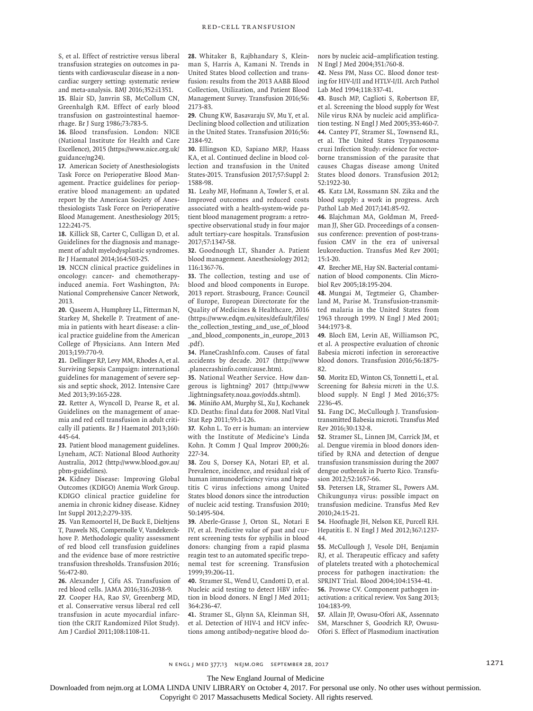S, et al. Effect of restrictive versus liberal transfusion strategies on outcomes in patients with cardiovascular disease in a noncardiac surgery setting: systematic review and meta-analysis. BMJ 2016;352:i1351. **15.** Blair SD, Janvrin SB, McCollum CN, Greenhalgh RM. Effect of early blood

transfusion on gastrointestinal haemorrhage. Br J Surg 1986;73:783-5. **16.** Blood transfusion. London: NICE (National Institute for Health and Care

Excellence), 2015 (https://www.nice.org.uk/ guidance/ng24).

**17.** American Society of Anesthesiologists Task Force on Perioperative Blood Management. Practice guidelines for perioperative blood management: an updated report by the American Society of Anesthesiologists Task Force on Perioperative Blood Management. Anesthesiology 2015; 122:241-75.

**18.** Killick SB, Carter C, Culligan D, et al. Guidelines for the diagnosis and management of adult myelodysplastic syndromes. Br J Haematol 2014;164:503-25.

**19.** NCCN clinical practice guidelines in oncology: cancer- and chemotherapyinduced anemia. Fort Washington, PA: National Comprehensive Cancer Network, 2013.

**20.** Qaseem A, Humphrey LL, Fitterman N, Starkey M, Shekelle P. Treatment of anemia in patients with heart disease: a clinical practice guideline from the American College of Physicians. Ann Intern Med 2013;159:770-9.

**21.** Dellinger RP, Levy MM, Rhodes A, et al. Surviving Sepsis Campaign: international guidelines for management of severe sepsis and septic shock, 2012. Intensive Care Med 2013;39:165-228.

**22.** Retter A, Wyncoll D, Pearse R, et al. Guidelines on the management of anaemia and red cell transfusion in adult critically ill patients. Br J Haematol 2013;160: 445-64.

**23.** Patient blood management guidelines. Lyneham, ACT: National Blood Authority Australia, 2012 (http://www.blood.gov.au/ pbm-guidelines).

**24.** Kidney Disease: Improving Global Outcomes (KDIGO) Anemia Work Group. KDIGO clinical practice guideline for anemia in chronic kidney disease. Kidney Int Suppl 2012;2:279-335.

**25.** Van Remoortel H, De Buck E, Dieltjens T, Pauwels NS, Compernolle V, Vandekerckhove P. Methodologic quality assessment of red blood cell transfusion guidelines and the evidence base of more restrictive transfusion thresholds. Transfusion 2016; 56:472-80.

**26.** Alexander J, Cifu AS. Transfusion of red blood cells. JAMA 2016;316:2038-9.

**27.** Cooper HA, Rao SV, Greenberg MD, et al. Conservative versus liberal red cell transfusion in acute myocardial infarction (the CRIT Randomized Pilot Study). Am J Cardiol 2011;108:1108-11.

**28.** Whitaker B, Rajbhandary S, Kleinman S, Harris A, Kamani N. Trends in United States blood collection and transfusion: results from the 2013 AABB Blood Collection, Utilization, and Patient Blood Management Survey. Transfusion 2016;56: 2173-83.

**29.** Chung KW, Basavaraju SV, Mu Y, et al. Declining blood collection and utilization in the United States. Transfusion 2016;56: 2184-92.

**30.** Ellingson KD, Sapiano MRP, Haass KA, et al. Continued decline in blood collection and transfusion in the United States-2015. Transfusion 2017;57:Suppl 2: 1588-98.

**31.** Leahy MF, Hofmann A, Towler S, et al. Improved outcomes and reduced costs associated with a health-system-wide patient blood management program: a retrospective observational study in four major adult tertiary-care hospitals. Transfusion 2017;57:1347-58.

**32.** Goodnough LT, Shander A. Patient blood management. Anesthesiology 2012; 116:1367-76.

**33.** The collection, testing and use of blood and blood components in Europe. 2013 report. Strasbourg, France: Council of Europe, European Directorate for the Quality of Medicines & Healthcare, 2016 (https://www.edqm.eu/sites/default/files/ the\_collection\_testing\_and\_use\_of\_blood \_and\_blood\_components\_in\_europe\_2013 .pdf).

**34.** PlaneCrashInfo.com. Causes of fatal accidents by decade. 2017 (http://www .planecrashinfo.com/cause.htm).

**35.** National Weather Service. How dangerous is lightning? 2017 (http://www .lightningsafety.noaa.gov/odds.shtml).

**36.** Miniño AM, Murphy SL, Xu J, Kochanek KD. Deaths: final data for 2008. Natl Vital Stat Rep 2011;59:1-126.

**37.** Kohn L. To err is human: an interview with the Institute of Medicine's Linda Kohn. Jt Comm J Qual Improv 2000;26: 227-34.

**38.** Zou S, Dorsey KA, Notari EP, et al. Prevalence, incidence, and residual risk of human immunodeficiency virus and hepatitis C virus infections among United States blood donors since the introduction of nucleic acid testing. Transfusion 2010; 50:1495-504.

**39.** Aberle-Grasse J, Orton SL, Notari E IV, et al. Predictive value of past and current screening tests for syphilis in blood donors: changing from a rapid plasma reagin test to an automated specific treponemal test for screening. Transfusion 1999;39:206-11.

**40.** Stramer SL, Wend U, Candotti D, et al. Nucleic acid testing to detect HBV infection in blood donors. N Engl J Med 2011; 364:236-47.

**41.** Stramer SL, Glynn SA, Kleinman SH, et al. Detection of HIV-1 and HCV infections among antibody-negative blood donors by nucleic acid–amplification testing. N Engl J Med 2004;351:760-8.

**42.** Ness PM, Nass CC. Blood donor testing for HIV-I/II and HTLV-I/II. Arch Pathol Lab Med 1994;118:337-41.

**43.** Busch MP, Caglioti S, Robertson EF, et al. Screening the blood supply for West Nile virus RNA by nucleic acid amplification testing. N Engl J Med 2005;353:460-7. **44.** Cantey PT, Stramer SL, Townsend RL, et al. The United States Trypanosoma cruzi Infection Study: evidence for vectorborne transmission of the parasite that causes Chagas disease among United States blood donors. Transfusion 2012; 52:1922-30.

**45.** Katz LM, Rossmann SN. Zika and the blood supply: a work in progress. Arch Pathol Lab Med 2017;141:85-92.

**46.** Blajchman MA, Goldman M, Freedman JJ, Sher GD. Proceedings of a consensus conference: prevention of post-transfusion CMV in the era of universal leukoreduction. Transfus Med Rev 2001; 15:1-20.

**47.** Brecher ME, Hay SN. Bacterial contamination of blood components. Clin Microbiol Rev 2005;18:195-204.

**48.** Mungai M, Tegtmeier G, Chamberland M, Parise M. Transfusion-transmitted malaria in the United States from 1963 through 1999. N Engl J Med 2001; 344:1973-8.

**49.** Bloch EM, Levin AE, Williamson PC, et al. A prospective evaluation of chronic Babesia microti infection in seroreactive blood donors. Transfusion 2016;56:1875- 82.

**50.** Moritz ED, Winton CS, Tonnetti L, et al. Screening for *Babesia microti* in the U.S. blood supply. N Engl J Med 2016;375: 2236-45.

**51.** Fang DC, McCullough J. Transfusiontransmitted Babesia microti. Transfus Med Rev 2016;30:132-8.

**52.** Stramer SL, Linnen JM, Carrick JM, et al. Dengue viremia in blood donors identified by RNA and detection of dengue transfusion transmission during the 2007 dengue outbreak in Puerto Rico. Transfusion 2012;52:1657-66.

**53.** Petersen LR, Stramer SL, Powers AM. Chikungunya virus: possible impact on transfusion medicine. Transfus Med Rev 2010;24:15-21.

**54.** Hoofnagle JH, Nelson KE, Purcell RH. Hepatitis E. N Engl J Med 2012;367:1237- 44.

**55.** McCullough J, Vesole DH, Benjamin RJ, et al. Therapeutic efficacy and safety of platelets treated with a photochemical process for pathogen inactivation: the SPRINT Trial. Blood 2004;104:1534-41.

**56.** Prowse CV. Component pathogen inactivation: a critical review. Vox Sang 2013; 104:183-99.

**57.** Allain JP, Owusu-Ofori AK, Assennato SM, Marschner S, Goodrich RP, Owusu-Ofori S. Effect of Plasmodium inactivation

n engl j med 377;13 nejm.org September 28, 2017 1271

The New England Journal of Medicine

Downloaded from nejm.org at LOMA LINDA UNIV LIBRARY on October 4, 2017. For personal use only. No other uses without permission.